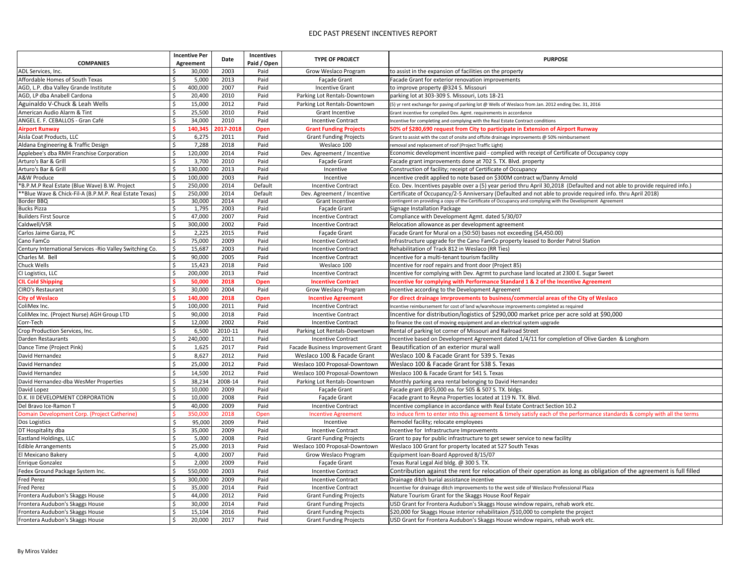| <b>COMPANIES</b>                                          | <b>Incentive Per</b><br>Agreement | Date      | <b>Incentives</b><br>Paid / Open | <b>TYPE OF PROJECT</b>                   | <b>PURPOSE</b>                                                                                                             |
|-----------------------------------------------------------|-----------------------------------|-----------|----------------------------------|------------------------------------------|----------------------------------------------------------------------------------------------------------------------------|
| ADL Services, Inc.                                        | 30,000                            | 2003      | Paid                             | <b>Grow Weslaco Program</b>              | to assist in the expansion of facilities on the property                                                                   |
| Affordable Homes of South Texas                           | 5,000                             | 2013      | Paid                             | <b>Façade Grant</b>                      | Facade Grant for exterior renovation improvements                                                                          |
| AGD, L.P. dba Valley Grande Institute                     | 400,000                           | 2007      | Paid                             | <b>Incentive Grant</b>                   | to improve property @324 S. Missouri                                                                                       |
| AGD, LP dba Anabell Cardona                               | 20,400                            | 2010      | Paid                             | Parking Lot Rentals-Downtown             | parking lot at 303-309 S. Missouri, Lots 18-21                                                                             |
| Aguinaldo V-Chuck & Leah Wells                            | 15,000                            | 2012      | Paid                             | Parking Lot Rentals-Downtown             | (5) yr rent exchange for paving of parking lot @ Wells of Weslaco from Jan. 2012 ending Dec. 31, 2016                      |
| American Audio Alarm & Tint                               | 25,500                            | 2010      | Paid                             | <b>Grant Incentive</b>                   | Grant incentive for complied Dev. Agmt. requirements in accordance                                                         |
| ANGEL E. F. CEBALLOS - Gran Café                          | 34,000                            | 2010      | Paid                             | <b>Incentive Contract</b>                | Incentive for completing and complying with the Real Estate Contract conditions                                            |
| <b>Airport Runway</b>                                     | 140,345                           | 2017-2018 | Open                             | <b>Grant Funding Projects</b>            | 50% of \$280,690 request from City to participate in Extension of Airport Runway                                           |
| Aisla Coat Products, LLC                                  | 6,275                             | 2011      | Paid                             | <b>Grant Funding Projects</b>            | Grant to assist with the cost of onsite and offsite drainage improvements @ 50% reimbursement                              |
| Aldana Engineering & Traffic Design                       | 7,288                             | 2018      | Paid                             | Weslaco 100                              | removal and replacement of roof (Project Traffic Light)                                                                    |
| Applebee's dba RMH Franchise Corporation                  | 120,000                           | 2014      | Paid                             | Dev. Agreement / Incentive               | Economic development incentive paid - complied with receipt of Certificate of Occupancy copy                               |
| Arturo's Bar & Grill                                      | 3,700                             | 2010      | Paid                             | Façade Grant                             | Facade grant improvements done at 702 S. TX. Blvd. property                                                                |
| Arturo's Bar & Grill                                      | 130,000                           | 2013      | Paid                             | Incentive                                | Construction of facility; receipt of Certificate of Occupancy                                                              |
| <b>A&amp;W Produce</b>                                    | 100,000                           | 2003      | Paid                             | Incentive                                | incentive credit applied to note based on \$300M contract w/Danny Arnold                                                   |
| *B.P.M.P Real Estate (Blue Wave) B.W. Project             | 250,000                           | 2014      | Default                          | <b>Incentive Contract</b>                | Eco. Dev. Incentives payable over a (5) year period thru April 30,2018 (Defaulted and not able to provide required info.)  |
| ** Blue Wave & Chick-Fil-A (B.P.M.P. Real Estate Texas)   | 250,000                           | 2014      | Default                          | Dev. Agreement / Incentive               | Certificate of Occupancy/2-5 Anniversary (Defaulted and not able to provide required info. thru April 2018)                |
| <b>Border BBQ</b>                                         | 30,000                            | 2014      | Paid                             | <b>Grant Incentive</b>                   | contingent on providing a copy of the Certificate of Occupancy and complying with the Development Agreement                |
| <b>Bucks Pizza</b>                                        | 1,795                             | 2003      | Paid                             | Façade Grant                             | <b>Signage Installation Package</b>                                                                                        |
| <b>Builders First Source</b>                              | 47,000                            | 2007      | Paid                             | <b>Incentive Contract</b>                | Compliance with Development Agmt. dated 5/30/07                                                                            |
| Caldwell/VSR                                              | 300,000                           | 2002      | Paid                             | <b>Incentive Contract</b>                | Relocation allowance as per development agreement                                                                          |
| Carlos Jaime Garza, PC                                    | 2,225                             | 2015      | Paid                             | Façade Grant                             | Facade Grant for Mural on a (50:50) bases not exceeding (\$4,450.00)                                                       |
| Cano FamCo                                                | 75,000                            | 2009      | Paid                             | <b>Incentive Contract</b>                | Infrastructure upgrade for the Cano FamCo property leased to Border Patrol Station                                         |
| Century International Services - Rio Valley Switching Co. | 15,687                            | 2003      | Paid                             | <b>Incentive Contract</b>                | Rehabilitation of Track 812 in Weslaco (RR Ties)                                                                           |
| Charles M. Bell                                           | 90,000                            | 2005      | Paid                             | <b>Incentive Contract</b>                | Incentive for a multi-tenant tourism facility                                                                              |
| <b>Chuck Wells</b>                                        | 15,423                            | 2018      | Paid                             | Weslaco 100                              | Incentive for roof repairs and front door (Project 85)                                                                     |
| CI Logistics, LLC                                         | 200,000                           | 2013      | Paid                             | <b>Incentive Contract</b>                | Incentive for complying with Dev. Agrmt to purchase land located at 2300 E. Sugar Sweet                                    |
| <b>CIL Cold Shipping</b>                                  | 50,000                            | 2018      | Open                             | <b>Incentive Contract</b>                | Incentive for complying with Performance Standard 1 & 2 of the Incentive Agreement                                         |
| CIRO's Restaurant                                         | 30,000                            | 2004      | Paid                             | <b>Grow Weslaco Program</b>              | incentive according to the Development Agreement                                                                           |
| <b>City of Weslaco</b>                                    | 140,000                           | 2018      | Open                             | <b>Incentive Agreement</b>               | For direct drainage imrprovements to business/commercial areas of the City of Weslaco                                      |
| ColiMex Inc.                                              | 100,000<br>-S                     | 2011      | Paid                             | <b>Incentive Contract</b>                | Incentive reimbursement for cost of land w/warehouse improvements completed as required                                    |
| ColiMex Inc. (Project Nurse) AGH Group LTD                | 90,000                            | 2018      | Paid                             | <b>Incentive Contract</b>                | Incentive for distribution/logistics of \$290,000 market price per acre sold at \$90,000                                   |
| Corr-Tech                                                 | 12,000                            | 2002      | Paid                             | <b>Incentive Contract</b>                | to finance the cost of moving equipment and an electrical system upgrade                                                   |
| Crop Production Services, Inc.                            | 6,500                             | 2010-11   | Paid                             | Parking Lot Rentals-Downtown             | Rental of parking lot corner of Missouri and Railroad Street                                                               |
| Darden Restaurants                                        | 240,000                           | 2011      | Paid                             | <b>Incentive Contract</b>                | Incentive based on Development Agreement dated 1/4/11 for completion of Olive Garden & Longhorn                            |
| Dance Time (Project Pink)                                 | 1,625                             | 2017      | Paid                             | <b>Facade Business Improvement Grant</b> | Beautification of an exterior mural wall                                                                                   |
| David Hernandez                                           | 8,627                             | 2012      | Paid                             | Weslaco 100 & Facade Grant               | Weslaco 100 & Facade Grant for 539 S. Texas                                                                                |
| David Hernandez                                           | 25,000                            | 2012      | Paid                             | Weslaco 100 Proposal-Downtown            | Weslaco 100 & Facade Grant for 538 S. Texas                                                                                |
| David Hernandez                                           | \$<br>14,500                      | 2012      | Paid                             | Weslaco 100 Proposal-Downtown            | Weslaco 100 & Facade Grant for 541 S. Texas                                                                                |
| David Hernandez-dba WesMer Properties                     | 38,234                            | 2008-14   | Paid                             | Parking Lot Rentals-Downtown             | Monthly parking area rental belonging to David Hernandez                                                                   |
| David Lopez                                               | 10,000                            | 2009      | Paid                             | Façade Grant                             | Facade grant @\$5,000 ea. for 505 & 507 S. TX. bldgs.                                                                      |
| D.K. III DEVELOPMENT CORPORATION                          | 10,000                            | 2008      | Paid                             | Façade Grant                             | Facade grant to Reyna Properties located at 119 N. TX. Blvd.                                                               |
| Del Bravo Ice-Ramon T                                     | 40,000                            | 2009      | Paid                             | <b>Incentive Contract</b>                | Incentive compliance in accordance with Real Estate Contract Section 10.2                                                  |
| Domain Development Corp. (Project Catherine)              | 350,000                           | 2018      | Open                             | <b>Incentive Agreement</b>               | to induce firm to enter into this agreement & timely satisfy each of the performance standards & comply with all the terms |
| Dos Logistics                                             | 95,000                            | 2009      | Paid                             | Incentive                                | Remodel facility; relocate employees                                                                                       |
| DT Hospitality dba                                        | 35,000                            | 2009      | Paid                             | <b>Incentive Contract</b>                | Incentive for Infrastructure Improvements                                                                                  |
| <b>Eastland Holdings, LLC</b>                             | 5,000                             | 2008      | Paid                             | <b>Grant Funding Projects</b>            | Grant to pay for public infrastructure to get sewer service to new facility                                                |
| <b>Edible Arrangements</b>                                | 25,000                            | 2013      | Paid                             | Weslaco 100 Proposal-Downtown            | Weslaco 100 Grant for property located at 527 South Texas                                                                  |
| El Mexicano Bakery                                        | 4,000                             | 2007      | Paid                             | Grow Weslaco Program                     | Equipment loan-Board Approved 8/15/07                                                                                      |
| <b>Enrique Gonzalez</b>                                   | 2,000                             | 2009      | Paid                             | Façade Grant                             | Texas Rural Legal Aid bldg. @ 300 S. TX.                                                                                   |
| Fedex Ground Package System Inc.                          | 550,000                           | 2003      | Paid                             | <b>Incentive Contract</b>                | Contribution against the rent for relocation of their operation as long as obligation of the agreement is full filled      |
| <b>Fred Perez</b>                                         | 300,000                           | 2009      | Paid                             | <b>Incentive Contract</b>                | Drainage ditch burial assistance incentive                                                                                 |
| <b>Fred Perez</b>                                         | 35,000                            | 2014      | Paid                             | <b>Incentive Contract</b>                | Incentive for drainage ditch improvements to the west side of Weslaco Professional Plaza                                   |
| Frontera Audubon's Skaggs House                           | 44,000                            | 2012      | Paid                             | <b>Grant Funding Projects</b>            | Nature Tourism Grant for the Skaggs House Roof Repair                                                                      |
| Frontera Audubon's Skaggs House                           | 30,000                            | 2014      | Paid                             | <b>Grant Funding Projects</b>            | USD Grant for Frontera Audubon's Skaggs House window repairs, rehab work etc.                                              |
| Frontera Audubon's Skaggs House                           | 15,104                            | 2016      | Paid                             | <b>Grant Funding Projects</b>            | \$20,000 for Skaggs House interior rehabilitaion /\$10,000 to complete the project                                         |
| Frontera Audubon's Skaggs House                           | 20,000                            | 2017      | Paid                             | <b>Grant Funding Projects</b>            | USD Grant for Frontera Audubon's Skaggs House window repairs, rehab work etc.                                              |
|                                                           |                                   |           |                                  |                                          |                                                                                                                            |

| <b>PURPOSE</b>                                                              |
|-----------------------------------------------------------------------------|
| operty                                                                      |
| าents                                                                       |
|                                                                             |
|                                                                             |
| Weslaco from Jan. 2012 ending Dec. 31, 2016                                 |
| accordance                                                                  |
| ate Contract conditions                                                     |
| ate in Extension of Airport Runway                                          |
| e improvements @ 50% reimbursement                                          |
|                                                                             |
| ed with receipt of Certificate of Occupancy copy                            |
| Blvd. property                                                              |
| Occupancy                                                                   |
| M contract w/Danny Arnold                                                   |
| riod thru April 30,2018 (Defaulted and not able to provide required info.)  |
| ulted and not able to provide required info. thru April 2018)               |
| pancy and complying with the Development Agreement                          |
|                                                                             |
| 30/07                                                                       |
| ement                                                                       |
| exceeding (\$4,450.00)                                                      |
| perty leased to Border Patrol Station                                       |
|                                                                             |
|                                                                             |
| ct 85)                                                                      |
| chase land located at 2300 E. Sugar Sweet                                   |
| <b>Indard 1 &amp; 2 of the Incentive Agreement</b>                          |
| ment                                                                        |
| ss/commercial areas of the City of Weslaco                                  |
| mprovements completed as required                                           |
| 000 market price per acre sold at \$90,000                                  |
| ctrical system upgrade                                                      |
| ilroad Street                                                               |
| ated 1/4/11 for completion of Olive Garden & Longhorn                       |
|                                                                             |
| as:                                                                         |
| as:                                                                         |
|                                                                             |
| d Hernandez                                                                 |
| bldgs.                                                                      |
| 9 N. TX. Blvd.                                                              |
| <b>Estate Contract Section 10.2</b>                                         |
| imely satisfy each of the performance standards & comply with all the terms |
|                                                                             |
|                                                                             |
| ver service to new facility                                                 |
| South Texas                                                                 |
|                                                                             |
|                                                                             |
| n of their operation as long as obligation of the agreement is full filled  |
|                                                                             |
| est side of Weslaco Professional Plaza                                      |
|                                                                             |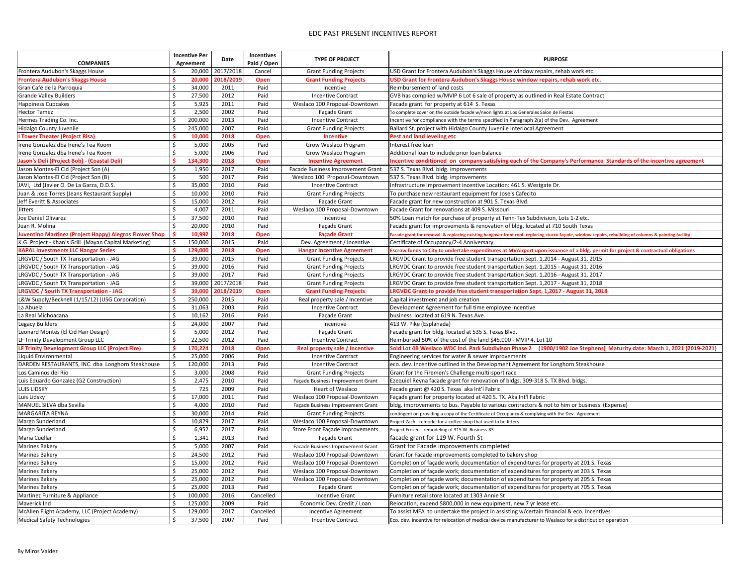|                                                               |     | <b>Incentive Per</b> | <b>Date</b> | <b>Incentives</b> | <b>TYPE OF PROJECT</b>            | <b>PURPOSE</b>                                                                                                                                        |
|---------------------------------------------------------------|-----|----------------------|-------------|-------------------|-----------------------------------|-------------------------------------------------------------------------------------------------------------------------------------------------------|
| <b>COMPANIES</b>                                              |     | <b>Agreement</b>     |             | Paid / Open       |                                   |                                                                                                                                                       |
| Frontera Audubon's Skaggs House                               |     | 20,000               | 2017/2018   | Cancel            | <b>Grant Funding Projects</b>     | USD Grant for Frontera Audubon's Skaggs House window repairs, rehab work etc.                                                                         |
| <b>Frontera Audubon's Skaggs House</b>                        |     | 20,000               | 2018/2019   | Open              | <b>Grant Funding Projects</b>     | USD Grant for Frontera Audubon's Skaggs House window repairs, rehab work etc.                                                                         |
| Gran Café de la Parroquia                                     |     | 34,000               | 2011        | Paid              | Incentive                         | Reimbursement of land costs                                                                                                                           |
| Grande Valley Builders                                        |     | 27,500               | 2012        | Paid              | <b>Incentive Contract</b>         | GVB has complied w/MVIP 6 Lot 6 sale of property as outlined in Real Estate Contract                                                                  |
| Happiness Cupcakes                                            |     | 5,925                | 2011        | Paid              | Weslaco 100 Proposal-Downtown     | Facade grant for property at 614 S. Texas                                                                                                             |
| <b>Hector Tamez</b>                                           |     | 2,500                | 2002        | Paid              | Façade Grant                      | To complete cover on the outside facade w/neon lights at Los Generales Salon de Fiestas                                                               |
| Hermes Trading Co. Inc.                                       |     | 200,000              | 2013        | Paid              | <b>Incentive Contract</b>         | Incentive for compliance with the terms specified in Paragraph 2(a) of the Dev. Agreement                                                             |
| Hidalgo County Juvenile                                       |     | 245,000              | 2007        | Paid              | <b>Grant Funding Projects</b>     | Ballard St. project with Hidalgo County Juvenile Interlocal Agreement                                                                                 |
| <b>I Tower Theater (Project Risa)</b>                         |     | 10,000               | 2018        | Open              | <b>Incentive</b>                  | Pest and land leveling etc                                                                                                                            |
| Irene Gonzalez dba Irene's Tea Room                           |     | 5,000                | 2005        | Paid              | Grow Weslaco Program              | Interest free loan                                                                                                                                    |
| Irene Gonzalez dba Irene's Tea Room                           |     | 5,000                | 2006        | Paid              | Grow Weslaco Program              | Additional loan to include prior loan balance                                                                                                         |
| Jason's Deli (Project Bob) - (Coastal Deli)                   |     | 134,300              | 2018        | Open              | <b>Incentive Agreement</b>        | Incentive conditioned on company satisfying each of the Company's Performance Standards of the incentive agreement                                    |
| Jason Montes-El Cid (Project Son (A)                          |     | 1,950                | 2017        | Paid              | Facade Business Improvement Grant | 537 S. Texas Blvd. bldg. improvements                                                                                                                 |
| Jason Montes-El Cid (Project Son (B)                          |     | 500                  | 2017        | Paid              | Weslaco 100 Proposal-Downtown     | 537 S. Texas Blvd. bldg. improvements                                                                                                                 |
| JAVI, Ltd (Javier O. De La Garza, D.D.S.                      |     | 35,000               | 2010        | Paid              | <b>Incentive Contract</b>         | Infrastructure improvement incentive Location: 461 S. Westgate Dr.                                                                                    |
| Juan & Jose Torres (Jeans Restaurant Supply)                  |     | 10,000               | 2010        | Paid              | <b>Grant Funding Projects</b>     | To purchase new restaurant equipment for Jose's Cafecito                                                                                              |
| Jeff Everitt & Associates                                     |     | 15,000               | 2012        | Paid              | Façade Grant                      | Facade grant for new construction at 901 S. Texas Blvd.                                                                                               |
| <b>Jitters</b>                                                |     | 4,007                | 2011        | Paid              | Weslaco 100 Proposal-Downtown     | Facade Grant for renovations at 409 S. Missouri                                                                                                       |
| Joe Daniel Olivarez                                           |     | 37,500               | 2010        | Paid              | Incentive                         | 50% Loan match for purchase of property at Tenn-Tex Subdivision, Lots 1-2 etc.                                                                        |
| Juan R. Molina                                                |     | 20,000               | 2010        | Paid              | Façade Grant                      | Facade grant for improvements & renovation of bldg. located at 710 South Texas                                                                        |
| <b>Juventino Martinez (Project Happy) Alegros Flower Shop</b> |     | 10,992               | 2018        | Open              | <b>Façade Grant</b>               | Facade grant for removal & replacing existing hangover front roof, replacing stucco façade, window repairs, rebuilding of columns & painting facility |
| K.G. Project - Khan's Grill (Mayan Capital Marketing)         |     | 150,000              | 2015        | Paid              | Dev. Agreement / Incentive        | Certificate of Occupancy/2-4 Anniversary                                                                                                              |
| <b>KAPAL Investments LLC Hangar Series</b>                    |     | 129,000              | 2018        | <b>Open</b>       | <b>Hangar Incentive Agreement</b> | Escrow funds to City to undertake expenditures at MVAirport upon issuance of a bldg. permit for project & contractual obligations                     |
| LRGVDC / South TX Transportation - JAG                        |     | 39,000               | 2015        | Paid              | <b>Grant Funding Projects</b>     | LRGVDC Grant to provide free student transportation Sept. 1,2014 - August 31, 2015                                                                    |
| LRGVDC / South TX Transportation - JAG                        |     | 39,000               | 2016        | Paid              | <b>Grant Funding Projects</b>     | LRGVDC Grant to provide free student transportation Sept. 1,2015 - August 31, 2016                                                                    |
| LRGVDC / South TX Transportation - JAG                        |     | 39,000               | 2017        | Paid              | <b>Grant Funding Projects</b>     | LRGVDC Grant to provide free student transportation Sept. 1,2016 - August 31, 2017                                                                    |
| LRGVDC / South TX Transportation - JAG                        |     | 39,000               | 2017/2018   | Paid              | <b>Grant Funding Projects</b>     | LRGVDC Grant to provide free student transportation Sept. 1,2017 - August 31, 2018                                                                    |
| <b>LRGVDC / South TX Transportation - JAG</b>                 |     | 39,000               | 2018/2019   | Open              | <b>Grant Funding Projects</b>     | LRGVDC Grant to provide free student transportation Sept. 1,2017 - August 31, 2018                                                                    |
| L&W Supply/Becknell (1/15/12) (USG Corporation)               |     | 250,000              | 2015        | Paid              | Real property sale / Incentive    | Capital investment and job creation                                                                                                                   |
| La Abuela                                                     | -\$ | 31,063               | 2003        | Paid              | <b>Incentive Contract</b>         | Development Agreement for full time employee incentive                                                                                                |
| La Real Michoacana                                            |     | 10,162               | 2016        | Paid              | Façade Grant                      | business located at 619 N. Texas Ave.                                                                                                                 |
| Legacy Builders                                               |     | 24,000               | 2007        | Paid              | Incentive                         | 413 W. Pike (Esplanada)                                                                                                                               |
| Leonard Montes (El Cid Hair Design)                           |     | 5,000                | 2012        | Paid              | Façade Grant                      | Facade grant for bldg. located at 535 S. Texas Blvd.                                                                                                  |
| LF Trinity Development Group LLC                              |     | 22,500               | 2012        | Paid              | <b>Incentive Contract</b>         | Reimbursed 50% of the cost of the land \$45,000 - MVIP 4, Lot 10                                                                                      |
| LF Trinity Development Group LLC (Project Fire)               |     | 170,224              | 2018        | <b>Open</b>       | Real property sale / Incentive    | Sold Lot 4B Weslaco WDC Ind. Park Subdivison Phase 2 (1900/1902 Joe Stephens) Maturity date: March 1, 2021 (2019-2021)                                |
| Liquid Environmental                                          |     | 25,000               | 2006        | Paid              | <b>Incentive Contract</b>         | Engineering services for water & sewer improvements                                                                                                   |
| DARDEN RESTAURANTS, INC. dba Longhorn Steakhouse              |     | 120,000              | 2013        | Paid              | <b>Incentive Contract</b>         | eco. dev. incentive outlined in the Development Agreement for Longhorn Steakhouse                                                                     |
| Los Caminos del Rio                                           |     | 3,000                | 2008        | Paid              | <b>Grant Funding Projects</b>     | Grant for the Firemen's Challenge multi-sport race                                                                                                    |
| Luis Eduardo Gonzalez (G2 Construction)                       |     | 2,475                | 2010        | Paid              | Façade Business Improvement Grant | Ezequiel Reyna facade grant for renovation of bldgs. 309-318 S. TX Blvd. bldgs.                                                                       |
| <b>LUIS LIDSKY</b>                                            |     | 725                  | 2009        | Paid              | Heart of Weslaco                  | Facade grant @ 420 S. Texas aka Int'l Fabric                                                                                                          |
| Luis Lidsky                                                   |     | 17,000               | 2011        | Paid              | Weslaco 100 Proposal-Downtown     | Façade grant for property located at 420 S. TX. Aka Int'l Fabric                                                                                      |
| MANUEL SILVA dba Sevilla                                      |     | 4,000                | 2010        | Paid              | Façade Business Improvement Grant | bldg. improvements to bus. Payable to various contractors & not to him or business (Expense)                                                          |
| MARGARITA REYNA                                               |     | 30,000               | 2014        | Paid              | <b>Grant Funding Projects</b>     | contingent on providing a copy of the Certificate of Occupancy & complying with the Dev. Agreement                                                    |
| Margo Sunderland                                              |     | 10,829               | 2017        | Paid              | Weslaco 100 Proposal-Downtown     | Project Zach - remodel for a coffee shop that used to be Jitters                                                                                      |
| Margo Sunderland                                              |     | 6,952                | 2017        | Paid              | Store Front Façade Improvements   | Project Frozen - remodeling of 315 W. Business 83                                                                                                     |
| Maria Cuellar                                                 |     | 1,341                | 2013        | Paid              | Façade Grant                      | facade grant for 119 W. Fourth St                                                                                                                     |
|                                                               |     |                      |             |                   |                                   |                                                                                                                                                       |
| Marines Bakery                                                |     | 5,000                | 2007        | Paid              | Facade Business Improvement Grant | Grant for Facade improvements completed                                                                                                               |
| Marines Bakery                                                |     | 24,500               | 2012        | Paid              | Weslaco 100 Proposal-Downtown     | Grant for Facade improvements completed to bakery shop                                                                                                |
| Marines Bakery                                                |     | 15,000               | 2012        | Paid              | Weslaco 100 Proposal-Downtown     | Completion of façade work; documentation of expenditures for property at 201 S. Texas                                                                 |
| Marines Bakery                                                |     | 25,000               | 2012        | Paid              | Weslaco 100 Proposal-Downtown     | Completion of façade work; documentation of expenditures for property at 203 S. Texas                                                                 |
| Marines Bakery                                                |     | 25,000               | 2012        | Paid              | Weslaco 100 Proposal-Downtown     | Completion of façade work; documentation of expenditures for property at 205 S. Texas                                                                 |
| Marines Bakery                                                |     | 25,000               | 2013        | Paid              | Façade Grant                      | Completion of façade work; documentation of expenditures for property at 705 S. Texas                                                                 |
| Martinez Furniture & Appliance                                |     | 100,000              | 2016        | Cancelled         | <b>Incentive Grant</b>            | Furniture retail store located at 1303 Annie St                                                                                                       |
| Maverick Ind                                                  |     | 125,000              | 2009        | Paid              | Economic Dev. Credit / Loan       | Relocation, expend \$800,000 in new equipment, new 7 yr lease etc.                                                                                    |
| McAllen Flight Academy, LLC (Project Academy)                 |     | 129,000              | 2017        | Cancelled         | Incentive Agreement               | To assist MFA to undertake the project in assisting w/certain financial & eco. Incentives                                                             |
| Medical Safety Technologies                                   |     | 37,500               | 2007        | Paid              | <b>Incentive Contract</b>         | Eco. dev. incentive for relocation of medical device manufacturer to Weslaco for a distribution operation                                             |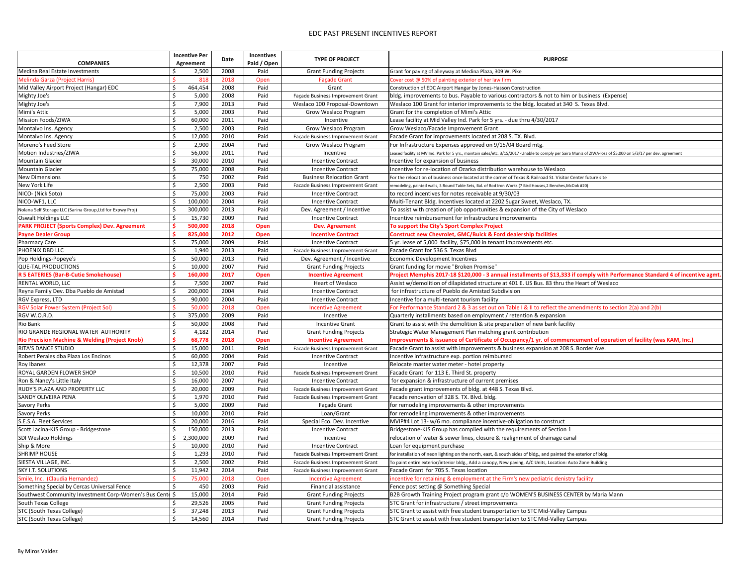|                                                            |         | <b>Incentive Per</b> | Date | <b>Incentives</b> | <b>TYPE OF PROJECT</b>                   | <b>PURPOSE</b>                                                                                                                                         |
|------------------------------------------------------------|---------|----------------------|------|-------------------|------------------------------------------|--------------------------------------------------------------------------------------------------------------------------------------------------------|
| <b>COMPANIES</b>                                           |         | <b>Agreement</b>     |      | Paid / Open       |                                          |                                                                                                                                                        |
| Medina Real Estate Investments                             |         | 2,500                | 2008 | Paid              | <b>Grant Funding Projects</b>            | Grant for paving of alleyway at Medina Plaza, 309 W. Pike                                                                                              |
| Melinda Garza (Project Harris)                             |         | 818                  | 2018 | Open              | <b>Façade Grant</b>                      | Cover cost @ 50% of painting exterior of her law firm                                                                                                  |
| Mid Valley Airport Project (Hangar) EDC                    |         | 464,454              | 2008 | Paid              | Grant                                    | Construction of EDC Airport Hangar by Jones-Hasson Construction                                                                                        |
| Mighty Joe's                                               |         | 5,000                | 2008 | Paid              | Façade Business Improvement Grant        | (bldg. improvements to bus. Payable to various contractors & not to him or business (Expense)                                                          |
| Mighty Joe's                                               | \$      | 7,900                | 2013 | Paid              | Weslaco 100 Proposal-Downtown            | Weslaco 100 Grant for interior improvements to the bldg. located at 340 S. Texas Blvd.                                                                 |
| Mimi's Attic                                               |         | 5,000                | 2003 | Paid              | Grow Weslaco Program                     | Grant for the completion of Mimi's Attic                                                                                                               |
| Mission Foods/ZIWA                                         |         | 60,000               | 2011 | Paid              | Incentive                                | Lease facility at Mid Valley Ind. Park for 5 yrs. - due thru 4/30/2017                                                                                 |
| Montalvo Ins. Agency                                       | $\zeta$ | 2,500                | 2003 | Paid              | <b>Grow Weslaco Program</b>              | Grow Weslaco/Facade Improvement Grant                                                                                                                  |
| Montalvo Ins. Agency                                       |         | 12,000               | 2010 | Paid              | Façade Business Improvement Grant        | Facade Grant for improvements located at 208 S. TX. Blvd.                                                                                              |
| Moreno's Feed Store                                        | \$      | 2,900                | 2004 | Paid              | Grow Weslaco Program                     | For Infrastructure Expenses approved on 9/15/04 Board mtg.                                                                                             |
| Motion Industries/ZIWA                                     |         | 56,000               | 2011 | Paid              | Incentive                                | Leased facility at MV Ind. Park for 5 yrs., maintain sales/etc. 3/15/2017 -Unable to comply per Saira Muniz of ZIWA-loss of \$5,000 on 5/3/17 per dev. |
| <b>Mountain Glacier</b>                                    |         | 30,000               | 2010 | Paid              | <b>Incentive Contract</b>                | Incentive for expansion of business                                                                                                                    |
| Mountain Glacier                                           | \$      | 75,000               | 2008 | Paid              | <b>Incentive Contract</b>                | Incentive for re-location of Ozarka distribution warehouse to Weslaco                                                                                  |
| <b>New Dimensions</b>                                      |         | 750                  | 2002 | Paid              | <b>Business Relocation Grant</b>         | For the relocation of business once located at the corner of Texas & Railroad St. Visitor Center future site                                           |
| New York Life                                              |         | 2,500                | 2003 | Paid              | Facade Business Improvement Grant        | remodeling, painted walls, 3 Round Table Sets, Bal. of Rod Iron Works (7 Bird Houses, 2 Benches, McDok #20)                                            |
| NICO- (Nick Soto)                                          |         | 75,000               | 2003 | Paid              | <b>Incentive Contract</b>                | to record incentives for notes receivable at 9/30/03                                                                                                   |
| NICO-WF1, LLC                                              |         | 100,000              | 2004 | Paid              | <b>Incentive Contract</b>                | Multi-Tenant Bldg. Incentives located at 2202 Sugar Sweet, Weslaco, TX.                                                                                |
| Nolana Self Storage LLC (Sarina Group, Ltd for Expwy Proj) |         | 300,000              | 2013 | Paid              | Dev. Agreement / Incentive               | To assist with creation of job opportunities & expansion of the City of Weslaco                                                                        |
| <b>Oswalt Holdings LLC</b>                                 |         | 15,730               | 2009 | Paid              | <b>Incentive Contract</b>                | Incentive reimbursement for infrastructure improvements                                                                                                |
| <b>PARK PROJECT (Sports Complex) Dev. Agreement</b>        |         | 500,000              | 2018 | Open              | Dev. Agreement                           | To support the City's Sport Complex Project                                                                                                            |
| <b>Payne Dealer Group</b>                                  |         | 825,000              | 2012 | <b>Open</b>       | <b>Incentive Contract</b>                | <b>Construct new Chevrolet, GMC/Buick &amp; Ford dealership facilities</b>                                                                             |
| <b>Pharmacy Care</b>                                       |         | 75,000               | 2009 | Paid              | <b>Incentive Contract</b>                | 5 yr. lease of 5,000 facility, \$75,000 in tenant improvements etc.                                                                                    |
| <b>PHOENIX DBD LLC</b>                                     |         | 1,940                | 2013 | Paid              | Facade Business Improvement Grant        | Facade Grant for 536 S. Texas Blvd                                                                                                                     |
| Pop Holdings-Popeye's                                      |         | 50,000               | 2013 | Paid              | Dev. Agreement / Incentive               | Economic Development Incentives                                                                                                                        |
| QUE-TAL PRODUCTIONS                                        | \$      | 10,000               | 2007 | Paid              | <b>Grant Funding Projects</b>            | Grant funding for movie "Broken Promise"                                                                                                               |
| <b>R 5 EATERIES (Bar-B-Cutie Smokehouse)</b>               |         | 160,000              | 2017 | <b>Open</b>       | <b>Incentive Agreement</b>               | Project Memphis 2017-18 \$120,000 - 3 annual installments of \$13,333 if comply with Performance Standa                                                |
| <b>RENTAL WORLD, LLC</b>                                   |         | 7,500                | 2007 | Paid              | Heart of Weslaco                         | Assist w/demolition of dilapidated structure at 401 E. US Bus. 83 thru the Heart of Weslaco                                                            |
| Reyna Family Dev. Dba Pueblo de Amistad                    |         | 200,000              | 2004 | Paid              | <b>Incentive Contract</b>                | for infrastructure of Pueblo de Amistad Subdivision                                                                                                    |
| RGV Express, LTD                                           |         | 90,000               | 2004 | Paid              | <b>Incentive Contract</b>                | Incentive for a multi-tenant tourism facility                                                                                                          |
| <b>RGV Solar Power System (Project Sol)</b>                |         | 50,000               | 2018 | Open              | <b>Incentive Agreement</b>               | For Performance Standard 2 & 3 as set out on Table I & II to reflect the amendments to section 2(a) and 2(b)                                           |
| RGV W.O.R.D.                                               |         | 375,000              | 2009 | Paid              | Incentive                                | Quarterly installments based on employment / retention & expansion                                                                                     |
| Rio Bank                                                   |         | 50,000               | 2008 | Paid              | <b>Incentive Grant</b>                   | Grant to assist with the demolition & site preparation of new bank facility                                                                            |
| RIO GRANDE REGIONAL WATER AUTHORITY                        |         | 4,182                | 2014 | Paid              | <b>Grant Funding Projects</b>            | Strategic Water Management Plan matching grant contribution                                                                                            |
| <b>Rio Precision Machine &amp; Welding (Project Knob)</b>  |         | 68,778               | 2018 | <b>Open</b>       | <b>Incentive Agreement</b>               | Improvements & issuance of Certificate of Occupancy/1 yr. of commencement of operation of facility (wa                                                 |
| <b>RITA'S DANCE STUDIO</b>                                 | \$      | 15,000               | 2011 | Paid              | <b>Facade Business Improvement Grant</b> | Facade Grant to assist with improvements & business expansion at 208 S. Border Ave.                                                                    |
| Robert Perales dba Plaza Los Encinos                       |         | 60,000               | 2004 | Paid              | <b>Incentive Contract</b>                | Incentive infrastructure exp. portion reimbursed                                                                                                       |
| Roy Ibanez                                                 |         | 12,378               | 2007 | Paid              | Incentive                                | Relocate master water meter - hotel property                                                                                                           |
| ROYAL GARDEN FLOWER SHOP                                   |         | 10,500               | 2010 | Paid              | Facade Business Improvement Grant        | Facade Grant for 113 E. Third St. property                                                                                                             |
| Ron & Nancy's Little Italy                                 |         | 16,000               | 2007 | Paid              | <b>Incentive Contract</b>                | for expansion & infrastructure of current premises                                                                                                     |
| RUDY'S PLAZA AND PROPERTY LLC                              | \$      | 20,000               | 2009 | Paid              | Facade Business Improvement Grant        | Facade grant improvements of bldg. at 448 S. Texas Blvd.                                                                                               |
| <b>SANDY OLIVEIRA PENA</b>                                 |         | 1,970                | 2010 | Paid              | Facade Business Improvement Grant        | Facade renovation of 328 S. TX. Blvd. bldg.                                                                                                            |
| <b>Savory Perks</b>                                        |         | 5,000                | 2009 | Paid              | Façade Grant                             | for remodeling improvements & other improvements                                                                                                       |
| <b>Savory Perks</b>                                        |         | 10,000               | 2010 | Paid              | Loan/Grant                               | for remodeling improvements & other improvements                                                                                                       |
| S.E.S.A. Fleet Services                                    |         | 20,000               | 2016 | Paid              | Special Eco. Dev. Incentive              | MVIP#4 Lot 13- w/6 mo. compliance incentive-obligation to construct                                                                                    |
| Scott Lacina-KJS Group - Bridgestone                       |         | 150,000              | 2013 | Paid              | <b>Incentive Contract</b>                | Bridgestone-KJS Group has complied with the requirements of Section 1                                                                                  |
| <b>SDI Weslaco Holdings</b>                                |         | 2,300,000            | 2009 | Paid              | Incentive                                | relocation of water & sewer lines, closure & realignment of drainage canal                                                                             |
| Ship & More                                                |         | 10,000               | 2010 | Paid              | <b>Incentive Contract</b>                | Loan for equipment purchase                                                                                                                            |
| <b>SHRIMP HOUSE</b>                                        |         | 1,293                | 2010 | Paid              | Facade Business Improvement Grant        | for installation of neon lighting on the north, east, & south sides of bldg., and painted the exterior of bldg.                                        |
| SIESTA VILLAGE, INC.                                       |         | 2,500                | 2002 | Paid              | Facade Business Improvement Grant        | To paint entire exterior/interior bldg., Add a canopy, New paving, A/C Units, Location: Auto Zone Building                                             |
| <b>SKY I.T. SOLUTIONS</b>                                  | \$      | 11,942               | 2014 | Paid              | Facade Business Improvement Grant        | Facade Grant for 705 S. Texas location                                                                                                                 |
| Smile, Inc. (Claudia Hernandez)                            |         | 75,000               | 2018 | Open              | <b>Incentive Agreement</b>               | incentive for retaining & employment at the Firm's new pediatric denistry facility                                                                     |
| Something Special by Cercas Universal Fence                |         | 450                  | 2003 | Paid              | Financial assistance                     | Fence post setting @ Something Special                                                                                                                 |
| Southwest Community Investment Corp-Women's Bus Cente      |         | 15,000               | 2014 | Paid              | <b>Grant Funding Projects</b>            | B2B Growth Training Project program grant c/o WOMEN'S BUSINESS CENTER by Maria Mann                                                                    |
| South Texas College                                        |         | 29,526               | 2005 | Paid              | <b>Grant Funding Projects</b>            | STC Grant for infrastructure / street improvements                                                                                                     |
| STC (South Texas College)                                  |         | 37,248               | 2013 | Paid              | <b>Grant Funding Projects</b>            | STC Grant to assist with free student transportation to STC Mid-Valley Campus                                                                          |
| STC (South Texas College)                                  |         | 14,560               | 2014 | Paid              | <b>Grant Funding Projects</b>            | STC Grant to assist with free student transportation to STC Mid-Valley Campus                                                                          |
|                                                            |         |                      |      |                   |                                          |                                                                                                                                                        |

| ≀URP<br>ıΓ<br>ν. |  |
|------------------|--|
|------------------|--|

 $\cos$  of \$5,000 on 5/3/17 per dev. agreement

th Performance Standard 4 of incentive agmt.

peration of facility (was KAM, Inc.)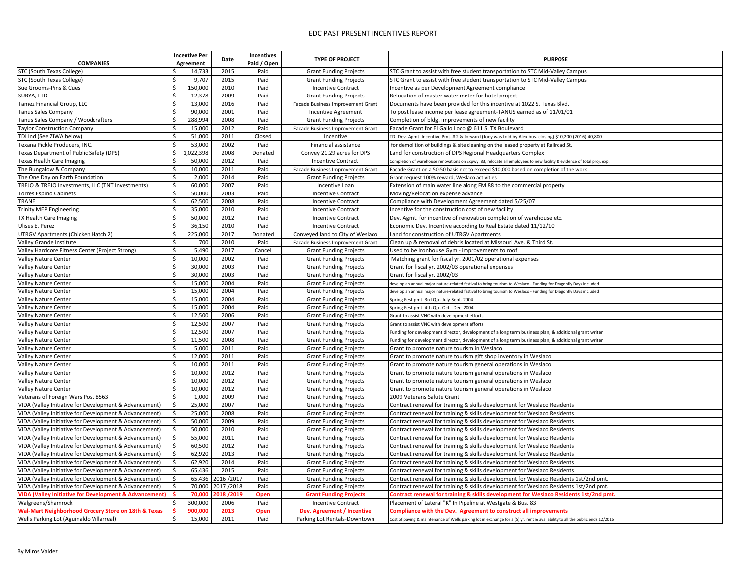|                                                                   | <b>Incentive Per</b> | <b>Date</b>       | <b>Incentives</b> | <b>TYPE OF PROJECT</b>            | <b>PURPOSE</b>                                                                                                                 |
|-------------------------------------------------------------------|----------------------|-------------------|-------------------|-----------------------------------|--------------------------------------------------------------------------------------------------------------------------------|
| <b>COMPANIES</b>                                                  | Agreement            |                   | Paid / Open       |                                   |                                                                                                                                |
| STC (South Texas College)                                         | 14,733               | 2015              | Paid              | <b>Grant Funding Projects</b>     | STC Grant to assist with free student transportation to STC Mid-Valley Campus                                                  |
| STC (South Texas College)                                         | 9,707                | 2015              | Paid              | <b>Grant Funding Projects</b>     | STC Grant to assist with free student transportation to STC Mid-Valley Campus                                                  |
| Sue Grooms-Pins & Cues                                            | 150,000              | 2010              | Paid              | <b>Incentive Contract</b>         | Incentive as per Development Agreement compliance                                                                              |
| SURYA, LTD                                                        | 12,378               | 2009              | Paid              | <b>Grant Funding Projects</b>     | Relocation of master water meter for hotel project                                                                             |
| Tamez Financial Group, LLC                                        | 13,000               | 2016              | Paid              | Facade Business Improvement Grant | Documents have been provided for this incentive at 1022 S. Texas Blvd.                                                         |
| <b>Tanus Sales Company</b>                                        | 90,000               | 2001              | Paid              | Incentive Agreement               | To post lease income per lease agreement-TANUS earned as of 11/01/01                                                           |
| Tanus Sales Company / Woodcrafters                                | 288,994              | 2008              | Paid              | <b>Grant Funding Projects</b>     | Completion of bldg. improvements of new facility                                                                               |
| <b>Taylor Construction Company</b>                                | 15,000               | 2012              | Paid              | Facade Business Improvement Grant | Facade Grant for El Gallo Loco @ 611 S. TX Boulevard                                                                           |
| TDI Ind (See ZIWA below)                                          | 51,000               | 2011              | Closed            | Incentive                         | TDI Dev. Agmt. Incentive Pmt. # 2 & forward (Joey was told by Alex bus. closing) \$10,200 (2016) 40,800                        |
| Texana Pickle Producers, INC.                                     | 53,000               | 2002              | Paid              | Financial assistance              | for demolition of buildings & site cleaning on the leased property at Railroad St.                                             |
| Texas Department of Public Safety (DPS)                           | 1,022,398            | 2008              | Donated           | Convey 21.29 acres for DPS        | Land for construction of DPS Regional Headquarters Complex                                                                     |
| Texas Health Care Imaging                                         | 50,000               | 2012              | Paid              | <b>Incentive Contract</b>         | Completion of warehouse renovations on Expwy. 83, relocate all employees to new facility & evidence of total proj. exp.        |
| The Bungalow & Company                                            | 10,000               | 2011              | Paid              | Facade Business Improvement Grant | Facade Grant on a 50:50 basis not to exceed \$10,000 based on completion of the work                                           |
| The One Day on Earth Foundation                                   | 2,000                | 2014              | Paid              | <b>Grant Funding Projects</b>     | Grant request 100% reward, Weslaco activities                                                                                  |
| TREJO & TREJO Investments, LLC (TNT Investments)                  | 60,000               | 2007              | Paid              | Incentive Loan                    | Extension of main water line along FM 88 to the commercial property                                                            |
| Torres Espino Cabinets                                            | 50,000               | 2003              | Paid              | <b>Incentive Contract</b>         | Moving/Relocation expense advance                                                                                              |
| <b>TRANE</b>                                                      | 62,500               | 2008              | Paid              | <b>Incentive Contract</b>         | Compliance with Development Agreement dated 5/25/07                                                                            |
| Trinity MEP Engineering                                           | 35,000               | 2010              | Paid              | <b>Incentive Contract</b>         | Incentive for the construction cost of new facility                                                                            |
| TX Health Care Imaging                                            | 50,000               | 2012              | Paid              | <b>Incentive Contract</b>         | Dev. Agmt. for incentive of renovation completion of warehouse etc.                                                            |
| Ulises E. Perez                                                   | 36,150               | 2010              | Paid              | <b>Incentive Contract</b>         | Economic Dev. Incentive according to Real Estate dated 11/12/10                                                                |
| UTRGV Apartments (Chicken Hatch 2)                                | 225,000              | 2017              | Donated           | Conveyed land to City of Weslaco  | Land for construction of UTRGV Apartments                                                                                      |
| Valley Grande Institute                                           | 700                  | 2010              | Paid              | Facade Business Improvement Grant | Clean up & removal of debris located at Missouri Ave. & Third St.                                                              |
| Valley Hardcore Fitness Center (Project Strong)                   | 5,490                | 2017              | Cancel            | <b>Grant Funding Projects</b>     | Used to be Ironhouse Gym - improvements to roof                                                                                |
| <b>Valley Nature Center</b>                                       | 10,000               | 2002              | Paid              | <b>Grant Funding Projects</b>     | Matching grant for fiscal yr. 2001/02 operational expenses                                                                     |
| <b>Valley Nature Center</b>                                       | 30,000               | 2003              | Paid              | <b>Grant Funding Projects</b>     | Grant for fiscal yr. 2002/03 operational expenses                                                                              |
| <b>Valley Nature Center</b>                                       | 30,000               | 2003              | Paid              | <b>Grant Funding Projects</b>     | Grant for fiscal yr. 2002/03                                                                                                   |
| <b>Valley Nature Center</b>                                       | 15,000               | 2004              | Paid              | <b>Grant Funding Projects</b>     | develop an annual major nature-related festival to bring tourism to Weslaco - Funding for Dragonfly Days included              |
| <b>Valley Nature Center</b>                                       | 15,000               | 2004              | Paid              | <b>Grant Funding Projects</b>     | develop an annual major nature-related festival to bring tourism to Weslaco - Funding for Dragonfly Days included              |
| <b>Valley Nature Center</b>                                       | 15,000               | 2004              | Paid              | <b>Grant Funding Projects</b>     | Spring Fest pmt. 3rd Qtr. July-Sept. 2004                                                                                      |
| Valley Nature Center                                              | 15,000               | 2004              | Paid              | <b>Grant Funding Projects</b>     | Spring Fest pmt. 4th Qtr. Oct.- Dec. 2004                                                                                      |
| <b>Valley Nature Center</b>                                       | 12,500               | 2006              | Paid              | <b>Grant Funding Projects</b>     | Grant to assist VNC with development efforts                                                                                   |
| Valley Nature Center                                              | 12,500               | 2007              | Paid              | <b>Grant Funding Projects</b>     | Grant to assist VNC with development efforts                                                                                   |
| <b>Valley Nature Center</b>                                       | 12,500               | 2007              | Paid              | <b>Grant Funding Projects</b>     | Funding for development director, development of a long term business plan, & additional grant writer                          |
| <b>Valley Nature Center</b>                                       | 11,500               | 2008              | Paid              | <b>Grant Funding Projects</b>     | Funding for development director, development of a long term business plan, & additional grant writer                          |
| <b>Valley Nature Center</b>                                       | 5,000                | 2011              | Paid              | <b>Grant Funding Projects</b>     | Grant to promote nature tourism in Weslaco                                                                                     |
| <b>Valley Nature Center</b>                                       | 12,000               | 2011              | Paid              | <b>Grant Funding Projects</b>     | Grant to promote nature tourism gift shop inventory in Weslaco                                                                 |
| Valley Nature Center                                              | 10,000               | 2011              | Paid              | <b>Grant Funding Projects</b>     | Grant to promote nature tourism general operations in Weslaco                                                                  |
| <b>Valley Nature Center</b>                                       | 10,000               | 2012              | Paid              | <b>Grant Funding Projects</b>     | Grant to promote nature tourism general operations in Weslaco                                                                  |
| <b>Valley Nature Center</b>                                       | 10,000               | 2012              | Paid              | <b>Grant Funding Projects</b>     | Grant to promote nature tourism general operations in Weslaco                                                                  |
| <b>Valley Nature Center</b>                                       | 10,000               | 2012              | Paid              | <b>Grant Funding Projects</b>     | Grant to promote nature tourism general operations in Weslaco                                                                  |
| Veterans of Foreign Wars Post 8563                                | 1,000                | 2009              | Paid              | <b>Grant Funding Projects</b>     | 2009 Veterans Salute Grant                                                                                                     |
| VIDA (Valley Initiative for Development & Advancement)            | 25,000               | 2007              | Paid              | <b>Grant Funding Projects</b>     | Contract renewal for training & skills development for Weslaco Residents                                                       |
| VIDA (Valley Initiative for Development & Advancement)            | 25,000               | 2008              | Paid              | <b>Grant Funding Projects</b>     | Contract renewal for training & skills development for Weslaco Residents                                                       |
| VIDA (Valley Initiative for Development & Advancement)            | 50,000               | 2009              | Paid              | <b>Grant Funding Projects</b>     | Contract renewal for training & skills development for Weslaco Residents                                                       |
| VIDA (Valley Initiative for Development & Advancement)            | 50,000               | 2010              | Paid              | <b>Grant Funding Projects</b>     | Contract renewal for training & skills development for Weslaco Residents                                                       |
| VIDA (Valley Initiative for Development & Advancement)            | 55,000               | 2011              | Paid              | <b>Grant Funding Projects</b>     | Contract renewal for training & skills development for Weslaco Residents                                                       |
| VIDA (Valley Initiative for Development & Advancement)            | 60,500               | 2012              | Paid              | <b>Grant Funding Projects</b>     | Contract renewal for training & skills development for Weslaco Residents                                                       |
| VIDA (Valley Initiative for Development & Advancement)            | 62,920               | 2013              | Paid              | <b>Grant Funding Projects</b>     | Contract renewal for training & skills development for Weslaco Residents                                                       |
| VIDA (Valley Initiative for Development & Advancement)            | 62,920               | 2014              | Paid              | <b>Grant Funding Projects</b>     | Contract renewal for training & skills development for Weslaco Residents                                                       |
| VIDA (Valley Initiative for Development & Advancement)            | 65,436               | 2015              | Paid              | <b>Grant Funding Projects</b>     | Contract renewal for training & skills development for Weslaco Residents                                                       |
| VIDA (Valley Initiative for Development & Advancement)            |                      | 65,436 2016 /2017 | Paid              | <b>Grant Funding Projects</b>     | Contract renewal for training & skills development for Weslaco Residents 1st/2nd pmt.                                          |
| VIDA (Valley Initiative for Development & Advancement)            | 70,000               | 2017/2018         | Paid              | <b>Grant Funding Projects</b>     | Contract renewal for training & skills development for Weslaco Residents 1st/2nd pmt.                                          |
| <b>VIDA (Valley Initiative for Development &amp; Advancement)</b> | 70,000               | 2018/2019         | Open              | <b>Grant Funding Projects</b>     | Contract renewal for training & skills development for Weslaco Residents 1st/2nd pmt.                                          |
| Walgreens/Shamrock                                                | 300,000              | 2006              | Paid              | <b>Incentive Contract</b>         | Placement of Lateral "K" In Pipeline at Westgate & Bus. 83                                                                     |
| <b>Wal-Mart Neighborhood Grocery Store on 18th &amp; Texas</b>    | 900,000              | 2013              | <b>Open</b>       | Dev. Agreement / Incentive        | <b>Compliance with the Dev. Agreement to construct all improvements</b>                                                        |
| Wells Parking Lot (Aguinaldo Villarreal)                          | 15,000               | 2011              | Paid              | Parking Lot Rentals-Downtown      | Cost of paving & maintenance of Wells parking lot in exchange for a (5) yr. rent & availability to all the public ends 12/2016 |